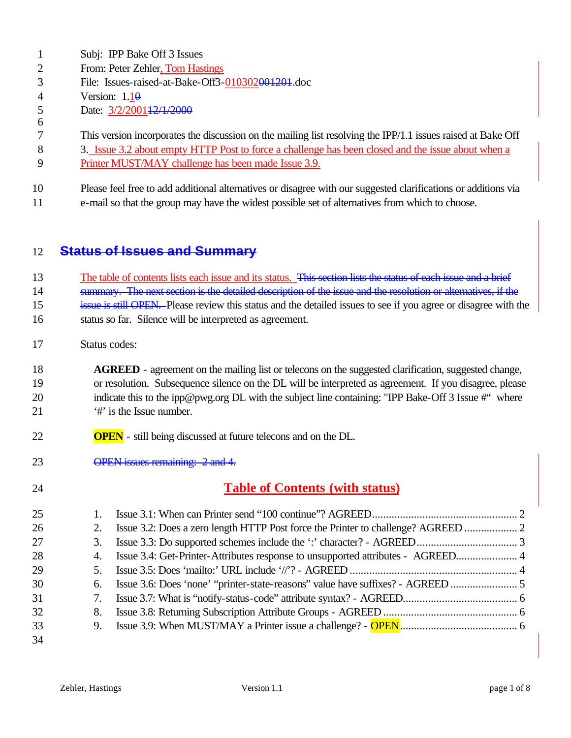|    | Subj: IPP Bake Off 3 Issues                                                                                    |
|----|----------------------------------------------------------------------------------------------------------------|
| 2  | From: Peter Zehler, Tom Hastings                                                                               |
| 3  | File: Issues-raised-at-Bake-Off3-010302001201.doc                                                              |
| 4  | Version: $1.1\theta$                                                                                           |
|    | Date: 3/2/200112/1/2000                                                                                        |
| 6  |                                                                                                                |
|    | This version incorporates the discussion on the mailing list resolving the IPP/1.1 issues raised at Bake Off   |
| 8  | 3. Issue 3.2 about empty HTTP Post to force a challenge has been closed and the issue about when a             |
| 9  | Printer MUST/MAY challenge has been made Issue 3.9.                                                            |
|    |                                                                                                                |
| 10 | Please feel free to add additional alternatives or disagree with our suggested clarifications or additions via |
| 11 | e-mail so that the group may have the widest possible set of alternatives from which to choose.                |

#### 12 **Status of Issues and Summary**

13 The table of contents lists each issue and its status. This section lists the status of each issue and a brief

14 summary. The next section is the detailed description of the issue and the resolution or alternatives, if the

15 issue is still OPEN. Please review this status and the detailed issues to see if you agree or disagree with the

16 status so far. Silence will be interpreted as agreement.

17 Status codes:

#### 18 **AGREED** - agreement on the mailing list or telecons on the suggested clarification, suggested change, 19 or resolution. Subsequence silence on the DL will be interpreted as agreement. If you disagree, please 20 indicate this to the ipp@pwg.org DL with the subject line containing: "IPP Bake-Off 3 Issue #" where 21 '#' is the Issue number.

- 22 **OPEN** still being discussed at future telecons and on the DL.
- 23 OPEN issues remaining: 2 and 4.

## 24 **Table of Contents (with status)**

| 25 |    |  |
|----|----|--|
| 26 | 2. |  |
| 27 | 3. |  |
| 28 |    |  |
| 29 | 5. |  |
| 30 | 6. |  |
| 31 | 7. |  |
| 32 | 8. |  |
| 33 |    |  |
| 34 |    |  |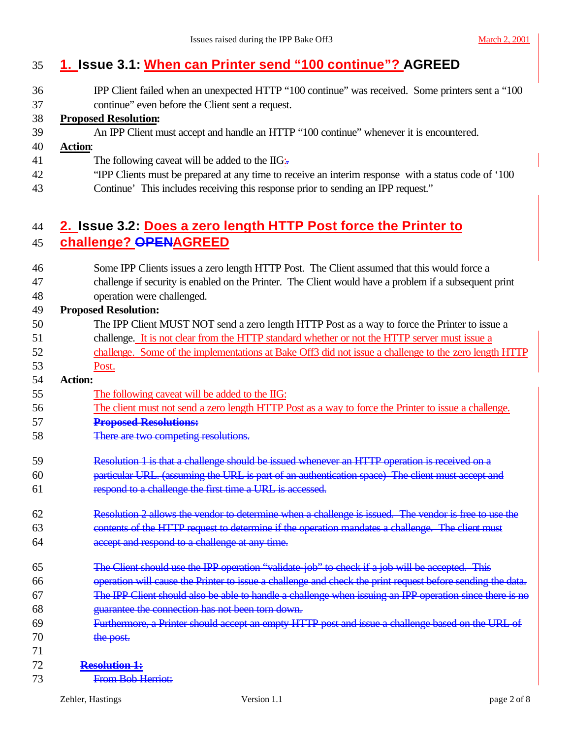#### **1. Issue 3.1: When can Printer send "100 continue"? AGREED**

IPP Client failed when an unexpected HTTP "100 continue" was received. Some printers sent a "100

continue" even before the Client sent a request.

#### **Proposed Resolution:**

An IPP Client must accept and handle an HTTP "100 continue" whenever it is encountered.

#### **Action**:

- 41 The following caveat will be added to the  $\rm IIG$ :
- "IPP Clients must be prepared at any time to receive an interim response with a status code of '100
- Continue' This includes receiving this response prior to sending an IPP request."

#### **2. Issue 3.2: Does a zero length HTTP Post force the Printer to challenge? OPENAGREED**

 Some IPP Clients issues a zero length HTTP Post. The Client assumed that this would force a challenge if security is enabled on the Printer. The Client would have a problem if a subsequent print operation were challenged.

#### **Proposed Resolution:**

- The IPP Client MUST NOT send a zero length HTTP Post as a way to force the Printer to issue a challenge. It is not clear from the HTTP standard whether or not the HTTP server must issue a challenge. Some of the implementations at Bake Off3 did not issue a challenge to the zero length HTTP Post.
- **Action:**
- The following caveat will be added to the IIG:
- The client must not send a zero length HTTP Post as a way to force the Printer to issue a challenge.
- **Proposed Resolutions:**
- There are two competing resolutions.
- 59 Resolution 1 is that a challenge should be issued whenever an HTTP operation is received on a particular URL. (assuming the URL is part of an authentication space) The client must accept and respond to a challenge the first time a URL is accessed.
- Resolution 2 allows the vendor to determine when a challenge is issued. The vendor is free to use the contents of the HTTP request to determine if the operation mandates a challenge. The client must **accept and respond to a challenge at any time.**
- The Client should use the IPP operation "validate-job" to check if a job will be accepted. This
- operation will cause the Printer to issue a challenge and check the print request before sending the data.
- The IPP Client should also be able to handle a challenge when issuing an IPP operation since there is no guarantee the connection has not been torn down.
- Furthermore, a Printer should accept an empty HTTP post and issue a challenge based on the URL of 70 the post.
- 
- **Resolution 1:**
- From Bob Herriot: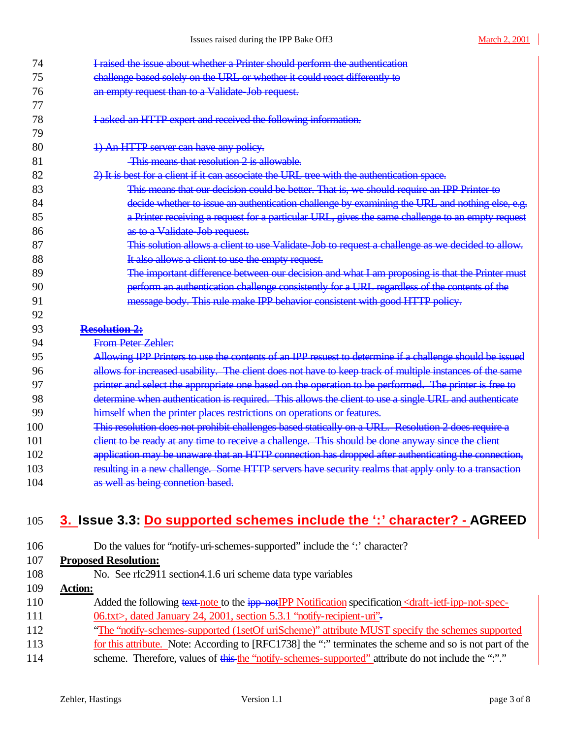| 74  | I raised the issue about whether a Printer should perform the authentication                             |
|-----|----------------------------------------------------------------------------------------------------------|
| 75  | challenge based solely on the URL or whether it could react differently to                               |
| 76  | an empty request than to a Validate Job request.                                                         |
| 77  |                                                                                                          |
| 78  | I asked an HTTP expert and received the following information.                                           |
| 79  |                                                                                                          |
| 80  | 1) An HTTP server can have any policy.                                                                   |
| 81  | This means that resolution 2 is allowable.                                                               |
| 82  | 2) It is best for a client if it can associate the URL tree with the authentication space.               |
| 83  | This means that our decision could be better. That is, we should require an IPP Printer to               |
| 84  | decide whether to issue an authentication challenge by examining the URL and nothing else, e.g.          |
| 85  | a Printer receiving a request for a particular URL, gives the same challenge to an empty request         |
| 86  | as to a Validate Job request.                                                                            |
| 87  | This solution allows a client to use Validate Job to request a challenge as we decided to allow.         |
| 88  | It also allows a client to use the empty request.                                                        |
| 89  | The important difference between our decision and what I am proposing is that the Printer must           |
| 90  | perform an authentication challenge consistently for a URL regardless of the contents of the             |
| 91  | message body. This rule make IPP behavior consistent with good HTTP policy.                              |
| 92  |                                                                                                          |
| 93  | <b>Resolution 2:</b>                                                                                     |
| 94  | From Peter Zehler:                                                                                       |
| 95  | Allowing IPP Printers to use the contents of an IPP resuest to determine if a challenge should be issued |
| 96  | allows for increased usability. The client does not have to keep track of multiple instances of the same |
| 97  | printer and select the appropriate one based on the operation to be performed. The printer is free to    |
| 98  | determine when authentication is required. This allows the client to use a single URL and authenticate   |
| 99  | himself when the printer places restrictions on operations or features.                                  |
| 100 | This resolution does not prohibit challenges based statically on a URL. Resolution 2 does require a      |
| 101 | client to be ready at any time to receive a challenge. This should be done anyway since the client       |
| 102 | application may be unaware that an HTTP connection has dropped after authenticating the connection,      |
| 103 | resulting in a new challenge. Some HTTP servers have security realms that apply only to a transaction    |
| 104 | as well as being connetion based.                                                                        |
|     |                                                                                                          |
|     |                                                                                                          |

# **3. Issue 3.3: Do supported schemes include the ':' character? - AGREED**

| 106 | Do the values for "notify-uri-schemes-supported" include the ": character?                                                                |
|-----|-------------------------------------------------------------------------------------------------------------------------------------------|
| 107 | <b>Proposed Resolution:</b>                                                                                                               |
| 108 | No. See rfc2911 section4.1.6 uri scheme data type variables                                                                               |
| 109 | <b>Action:</b>                                                                                                                            |
| 110 | Added the following text note to the ipp not IPP Notification specification <draft-ietf-ipp-not-spec-< td=""></draft-ietf-ipp-not-spec-<> |
| 111 | 06.txt>, dated January 24, 2001, section 5.3.1 "notify-recipient-uri".                                                                    |
| 112 | "The "notify-schemes-supported (1setOf uriScheme)" attribute MUST specify the schemes supported                                           |
| 113 | for this attribute. Note: According to [RFC1738] the ":" terminates the scheme and so is not part of the                                  |
| 114 | scheme. Therefore, values of this the "notify-schemes-supported" attribute do not include the ".""                                        |
|     |                                                                                                                                           |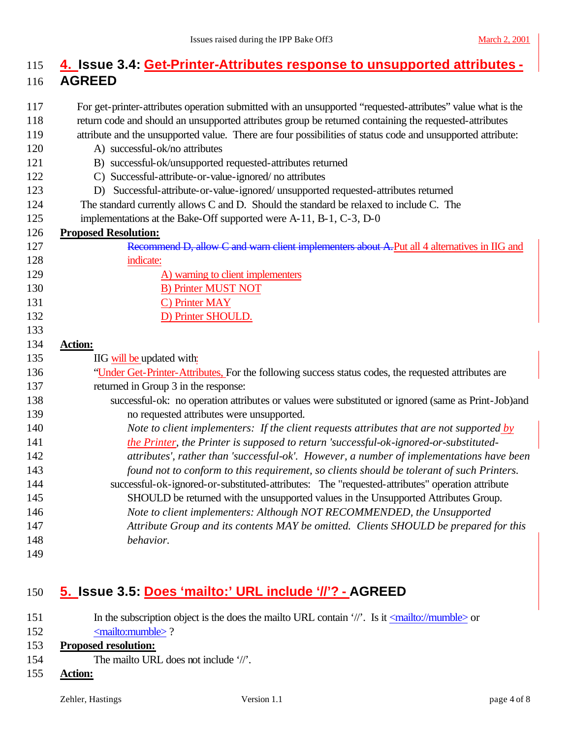## **4. Issue 3.4: Get-Printer-Attributes response to unsupported attributes - AGREED**

- For get-printer-attributes operation submitted with an unsupported "requested-attributes" value what is the
- return code and should an unsupported attributes group be returned containing the requested-attributes
- attribute and the unsupported value. There are four possibilities of status code and unsupported attribute:
- A) successful-ok/no attributes
- B) successful-ok/unsupported requested-attributes returned
- C) Successful-attribute-or-value-ignored/ no attributes
- D) Successful-attribute-or-value-ignored/ unsupported requested-attributes returned
- The standard currently allows C and D. Should the standard be relaxed to include C. The
- implementations at the Bake-Off supported were A-11, B-1, C-3, D-0

### **Proposed Resolution:**

- 127 Recommend D, allow C and warn client implementers about A. Put all 4 alternatives in IIG and indicate: 129 A) warning to client implementers 130 B) Printer MUST NOT 131 C) Printer MAY 132 D) Printer SHOULD. **Action:**
- **IIG will be updated with:**
- "Under Get-Printer-Attributes, For the following success status codes, the requested attributes are
- returned in Group 3 in the response:
- successful-ok: no operation attributes or values were substituted or ignored (same as Print-Job)and no requested attributes were unsupported.
- *Note to client implementers: If the client requests attributes that are not supported by the Printer, the Printer is supposed to return 'successful-ok-ignored-or-substituted- attributes', rather than 'successful-ok'. However, a number of implementations have been found not to conform to this requirement, so clients should be tolerant of such Printers.*  successful-ok-ignored-or-substituted-attributes: The "requested-attributes" operation attribute SHOULD be returned with the unsupported values in the Unsupported Attributes Group. *Note to client implementers: Although NOT RECOMMENDED, the Unsupported Attribute Group and its contents MAY be omitted. Clients SHOULD be prepared for this*
- *behavior.*
- 

## **5. Issue 3.5: Does 'mailto:' URL include '//'? - AGREED**

- 151 In the subscription object is the does the mailto URL contain '/'. Is it  $\langle$ mailto://mumble> or 152 <mailto:mumble>? **Proposed resolution:** The mailto URL does not include '//'.
- 
- **Action:**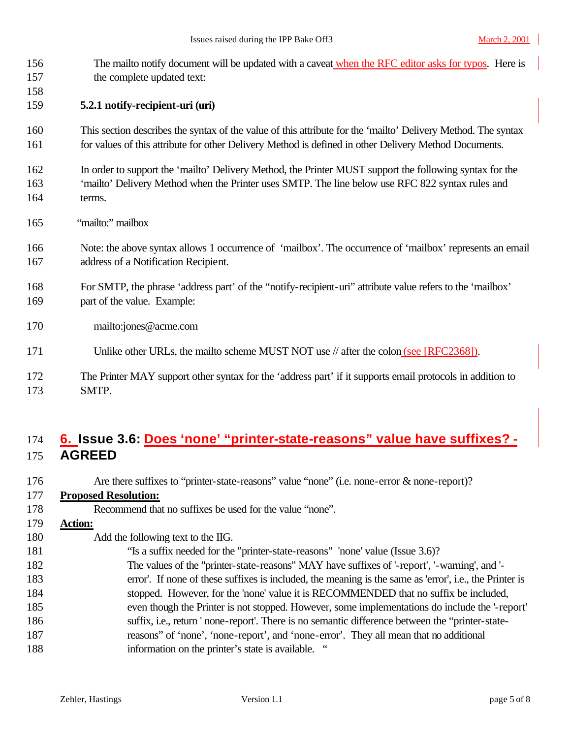| 156<br>157<br>158 | The mailto notify document will be updated with a caveat when the RFC editor asks for typos. Here is<br>the complete updated text: |
|-------------------|------------------------------------------------------------------------------------------------------------------------------------|
| 159               | 5.2.1 notify-recipient-uri (uri)                                                                                                   |
| 160               | This section describes the syntax of the value of this attribute for the 'mailto' Delivery Method. The syntax                      |
| 161               | for values of this attribute for other Delivery Method is defined in other Delivery Method Documents.                              |
| 162               | In order to support the 'mailto' Delivery Method, the Printer MUST support the following syntax for the                            |
| 163               | 'mailto' Delivery Method when the Printer uses SMTP. The line below use RFC 822 syntax rules and                                   |
| 164               | terms.                                                                                                                             |
| 165               | "mailto:" mailbox                                                                                                                  |
| 166               | Note: the above syntax allows 1 occurrence of 'mailbox'. The occurrence of 'mailbox' represents an email                           |
| 167               | address of a Notification Recipient.                                                                                               |
| 168               | For SMTP, the phrase 'address part' of the "notify-recipient-uri" attribute value refers to the 'mailbox'                          |
| 169               | part of the value. Example:                                                                                                        |
| 170               | mailto:jones@acme.com                                                                                                              |
| 171               | Unlike other URLs, the mailto scheme MUST NOT use // after the colon (see [RFC2368]).                                              |
| 172               | The Printer MAY support other syntax for the 'address part' if it supports email protocols in addition to                          |
| 173               | SMTP.                                                                                                                              |

## **6. Issue 3.6: Does 'none' "printer-state-reasons" value have suffixes? - AGREED**

| 176 | Are there suffixes to "printer-state-reasons" value "none" (i.e. none-error & none-report)?             |
|-----|---------------------------------------------------------------------------------------------------------|
| 177 | <b>Proposed Resolution:</b>                                                                             |
| 178 | Recommend that no suffixes be used for the value "none".                                                |
| 179 | <b>Action:</b>                                                                                          |
| 180 | Add the following text to the IIG.                                                                      |
| 181 | "Is a suffix needed for the "printer-state-reasons" 'none' value (Issue 3.6)?                           |
| 182 | The values of the "printer-state-reasons" MAY have suffixes of '-report', '-warning', and '-            |
| 183 | error'. If none of these suffixes is included, the meaning is the same as 'error', i.e., the Printer is |
| 184 | stopped. However, for the 'none' value it is RECOMMENDED that no suffix be included,                    |
| 185 | even though the Printer is not stopped. However, some implementations do include the '-report'          |
| 186 | suffix, i.e., return ' none-report'. There is no semantic difference between the "printer-state-        |
| 187 | reasons" of 'none', 'none-report', and 'none-error'. They all mean that no additional                   |
| 188 | information on the printer's state is available. "                                                      |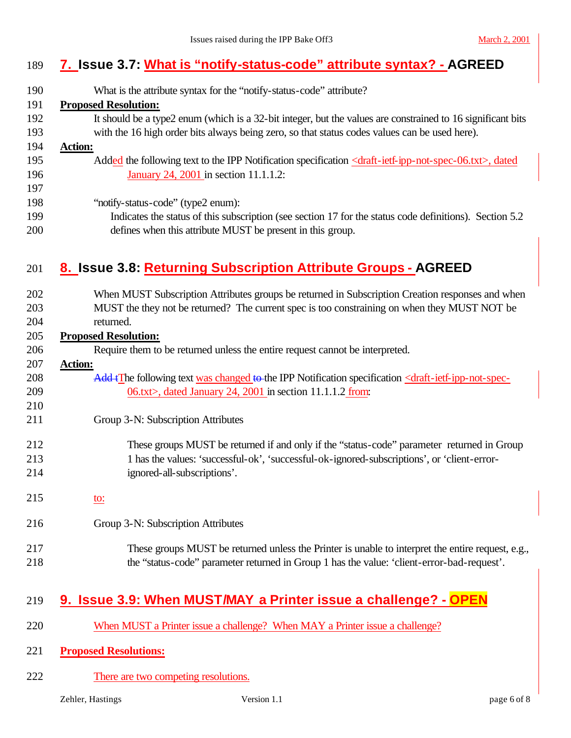# **7. Issue 3.7: What is "notify-status-code" attribute syntax? - AGREED**

| 190        | What is the attribute syntax for the "notify-status-code" attribute?                                                                    |
|------------|-----------------------------------------------------------------------------------------------------------------------------------------|
| 191        | <b>Proposed Resolution:</b>                                                                                                             |
| 192        | It should be a type2 enum (which is a 32-bit integer, but the values are constrained to 16 significant bits                             |
| 193        | with the 16 high order bits always being zero, so that status codes values can be used here).                                           |
| 194        | <b>Action:</b>                                                                                                                          |
| 195        | Added the following text to the IPP Notification specification <draft-ietf-ipp-not-spec-06.txt>, dated</draft-ietf-ipp-not-spec-06.txt> |
| 196        | January 24, 2001 in section 11.1.1.2:                                                                                                   |
| 197        |                                                                                                                                         |
| 198        | "notify-status-code" (type2 enum):                                                                                                      |
| 199        | Indicates the status of this subscription (see section 17 for the status code definitions). Section 5.2                                 |
| 200        | defines when this attribute MUST be present in this group.                                                                              |
| 201        | 8. Issue 3.8: Returning Subscription Attribute Groups - AGREED                                                                          |
|            |                                                                                                                                         |
| 202        | When MUST Subscription Attributes groups be returned in Subscription Creation responses and when                                        |
| 203        | MUST the they not be returned? The current spec is too constraining on when they MUST NOT be                                            |
| 204        | returned.                                                                                                                               |
| 205        | <b>Proposed Resolution:</b>                                                                                                             |
| 206        | Require them to be returned unless the entire request cannot be interpreted.                                                            |
| 207        | <b>Action:</b>                                                                                                                          |
| 208        | Add+The following text was changed to the IPP Notification specification <draft-ietf-ipp-not-spec-< td=""></draft-ietf-ipp-not-spec-<>  |
| 209        | $06$ .txt>, dated January 24, 2001 in section 11.1.1.2 from:                                                                            |
| 210<br>211 |                                                                                                                                         |
|            | Group 3-N: Subscription Attributes                                                                                                      |
| 212        | These groups MUST be returned if and only if the "status-code" parameter returned in Group                                              |
| 213        | 1 has the values: 'successful-ok', 'successful-ok-ignored-subscriptions', or 'client-error-                                             |
| 214        | ignored-all-subscriptions'.                                                                                                             |
| 215        | <u>to:</u>                                                                                                                              |
| 216        | Group 3-N: Subscription Attributes                                                                                                      |
|            |                                                                                                                                         |
| 217        | These groups MUST be returned unless the Printer is unable to interpret the entire request, e.g.,                                       |
| 218        | the "status-code" parameter returned in Group 1 has the value: 'client-error-bad-request'.                                              |
| 219        | 9. Issue 3.9: When MUST/MAY a Printer issue a challenge? - OPEN                                                                         |
| 220        | When MUST a Printer issue a challenge? When MAY a Printer issue a challenge?                                                            |

- **Proposed Resolutions:**
- 222 There are two competing resolutions.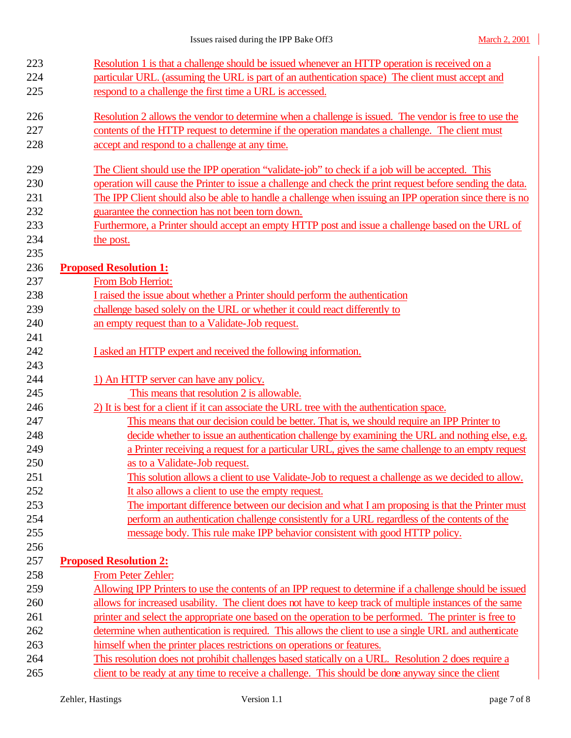| 223        | Resolution 1 is that a challenge should be issued whenever an HTTP operation is received on a              |
|------------|------------------------------------------------------------------------------------------------------------|
| 224        | particular URL. (assuming the URL is part of an authentication space) The client must accept and           |
| 225        | respond to a challenge the first time a URL is accessed.                                                   |
| 226        | Resolution 2 allows the vendor to determine when a challenge is issued. The vendor is free to use the      |
| 227        | contents of the HTTP request to determine if the operation mandates a challenge. The client must           |
| 228        | accept and respond to a challenge at any time.                                                             |
| 229        | The Client should use the IPP operation "validate-job" to check if a job will be accepted. This            |
| 230        | operation will cause the Printer to issue a challenge and check the print request before sending the data. |
| 231        | The IPP Client should also be able to handle a challenge when issuing an IPP operation since there is no   |
| 232        | guarantee the connection has not been torn down.                                                           |
| 233        | Furthermore, a Printer should accept an empty HTTP post and issue a challenge based on the URL of          |
| 234        | the post.                                                                                                  |
| 235        |                                                                                                            |
| 236        | <b>Proposed Resolution 1:</b>                                                                              |
| 237        | From Bob Herriot:                                                                                          |
| 238        | I raised the issue about whether a Printer should perform the authentication                               |
| 239        | challenge based solely on the URL or whether it could react differently to                                 |
| 240        | an empty request than to a Validate-Job request.                                                           |
| 241        |                                                                                                            |
| 242        | I asked an HTTP expert and received the following information.                                             |
| 243<br>244 | 1) An HTTP server can have any policy.                                                                     |
| 245        | This means that resolution 2 is allowable.                                                                 |
| 246        | 2) It is best for a client if it can associate the URL tree with the authentication space.                 |
| 247        | This means that our decision could be better. That is, we should require an IPP Printer to                 |
| 248        | decide whether to issue an authentication challenge by examining the URL and nothing else, e.g.            |
| 249        | a Printer receiving a request for a particular URL, gives the same challenge to an empty request           |
| 250        | as to a Validate-Job request.                                                                              |
| 251        | This solution allows a client to use Validate-Job to request a challenge as we decided to allow.           |
| 252        | It also allows a client to use the empty request.                                                          |
| 253        | The important difference between our decision and what I am proposing is that the Printer must             |
| 254        | perform an authentication challenge consistently for a URL regardless of the contents of the               |
| 255        | message body. This rule make IPP behavior consistent with good HTTP policy.                                |
| 256        |                                                                                                            |
| 257        | <b>Proposed Resolution 2:</b>                                                                              |
| 258        | From Peter Zehler:                                                                                         |
| 259        | Allowing IPP Printers to use the contents of an IPP request to determine if a challenge should be issued   |
| 260        | allows for increased usability. The client does not have to keep track of multiple instances of the same   |
| 261        | printer and select the appropriate one based on the operation to be performed. The printer is free to      |
| 262        | determine when authentication is required. This allows the client to use a single URL and authenticate     |
|            |                                                                                                            |
| 263        | himself when the printer places restrictions on operations or features.                                    |
| 264        | This resolution does not prohibit challenges based statically on a URL. Resolution 2 does require a        |
| 265        | client to be ready at any time to receive a challenge. This should be done anyway since the client         |